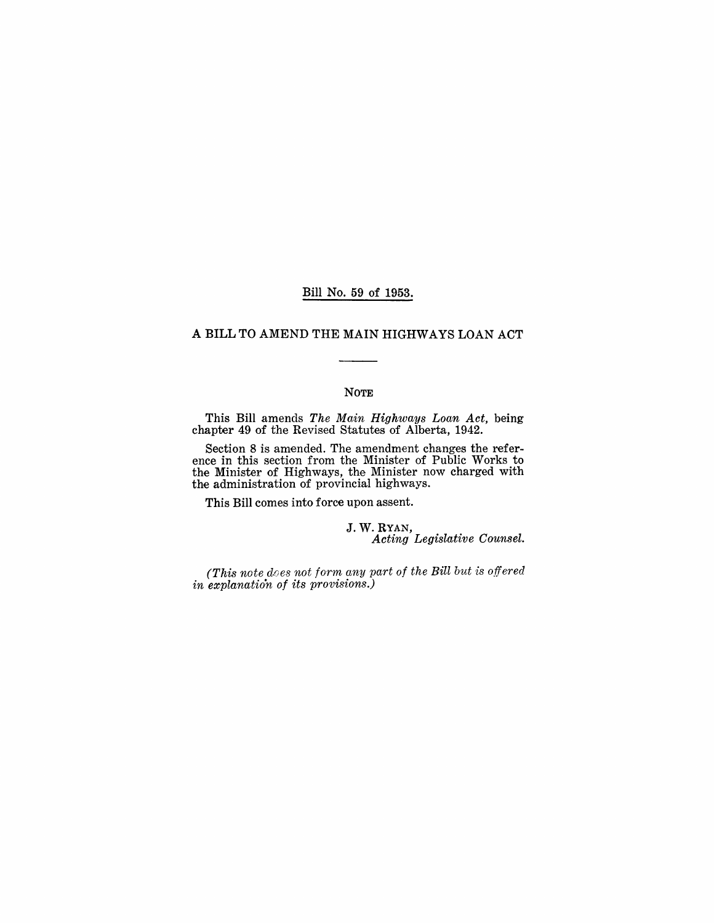#### Bill No. 59 of 1953.

# A BILL TO AMEND THE MAIN HIGHWAYS LOAN ACT

#### NOTE

This Bill amends *The Main Highways Loan Act,* being chapter 49 of the Revised Statutes of Alberta, 1942.

Section 8 is amended. The amendment changes the reference in this section from the Minister of Public Works to the Minister of Highways, the Minister now charged with the administration of provincial highways.

This Bill comes into force upon assent.

J. W. RYAN, *Acting Legislative Counsel.* 

*(This note d.oes not form any part of the Bill but is offered in explanation of its provisions.)*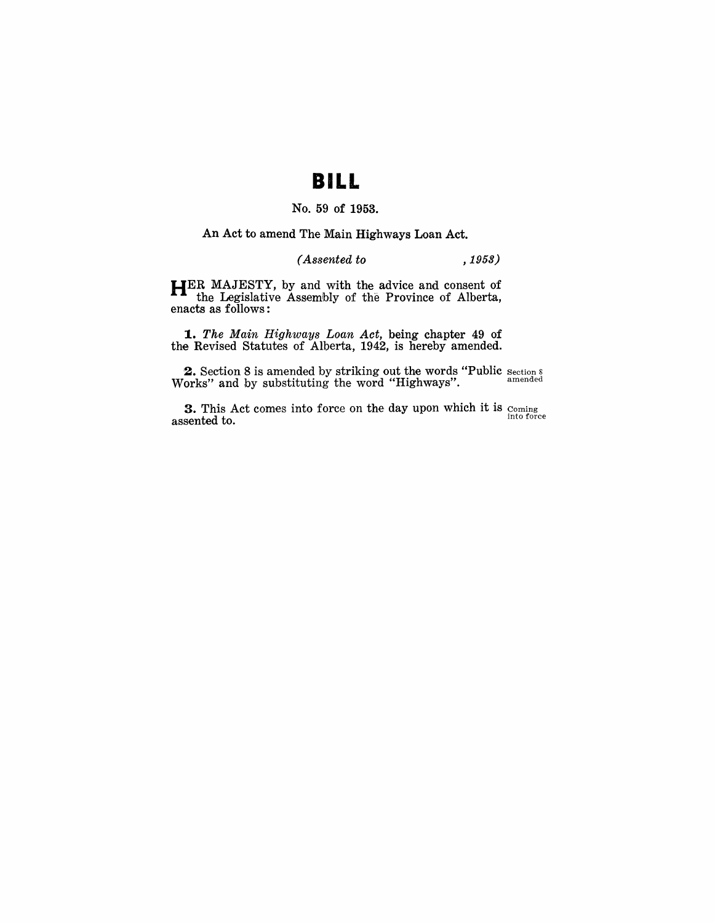# **BILL**

# No. 59 of 1953.

#### An Act to amend The Main Highways Loan Act.

# *( Assented to* , 1953)

HER MAJESTY, by and with the advice and consent of the Legislative Assembly of the Province of Alberta, enacts as follows:

1.. *The Main Highways Loan Act,* being chapter 49 of the Revised Statutes of Alberta, 1942, is hereby amended.

**2.** Section 8 is amended by striking out the words "Public section s Works" and by substituting the word "Highways". The amended

**3.** This Act comes into force on the day upon which it is  $_{\text{coming}}$ assented to. **into force**